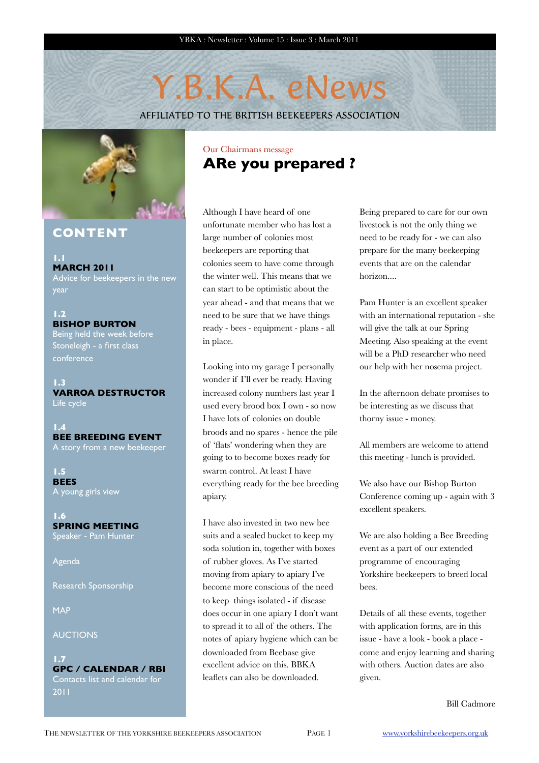# Y.B.K.A. eNews

AFFILIATED TO THE BRITISH BEEKEEPERS ASSOCIATION



## **CONTENT**

**1.1 MARCH 2011** Advice for beekeepers in the new year

**1.2 BISHOP BURTON** Being held the week before Stoneleigh - a first class

conference

**1.3 VARROA DESTRUCTOR** Life cycle

**1.4 BEE BREEDING EVENT** A story from a new beekeeper

**1.5 BEES** A young girls view

**1.6 SPRING MEETING** Speaker - Pam Hunter

Agenda

Research Sponsorship

MAP

AUCTIONS

### **1.7 GPC / CALENDAR / RBI** Contacts list and calendar for

2011

## Our Chairmans message **ARe you prepared ?**

Although I have heard of one unfortunate member who has lost a large number of colonies most beekeepers are reporting that colonies seem to have come through the winter well. This means that we can start to be optimistic about the year ahead - and that means that we need to be sure that we have things ready - bees - equipment - plans - all in place.

Looking into my garage I personally wonder if I'll ever be ready. Having increased colony numbers last year I used every brood box I own - so now I have lots of colonies on double broods and no spares - hence the pile of 'flats' wondering when they are going to to become boxes ready for swarm control. At least I have everything ready for the bee breeding apiary.

I have also invested in two new bee suits and a sealed bucket to keep my soda solution in, together with boxes of rubber gloves. As I've started moving from apiary to apiary I've become more conscious of the need to keep things isolated - if disease does occur in one apiary I don't want to spread it to all of the others. The notes of apiary hygiene which can be downloaded from Beebase give excellent advice on this. BBKA leaflets can also be downloaded.

Being prepared to care for our own livestock is not the only thing we need to be ready for - we can also prepare for the many beekeeping events that are on the calendar horizon....

Pam Hunter is an excellent speaker with an international reputation - she will give the talk at our Spring Meeting. Also speaking at the event will be a PhD researcher who need our help with her nosema project.

In the afternoon debate promises to be interesting as we discuss that thorny issue - money.

All members are welcome to attend this meeting - lunch is provided.

We also have our Bishop Burton Conference coming up - again with 3 excellent speakers.

We are also holding a Bee Breeding event as a part of our extended programme of encouraging Yorkshire beekeepers to breed local bees.

Details of all these events, together with application forms, are in this issue - have a look - book a place come and enjoy learning and sharing with others. Auction dates are also given.

Bill Cadmore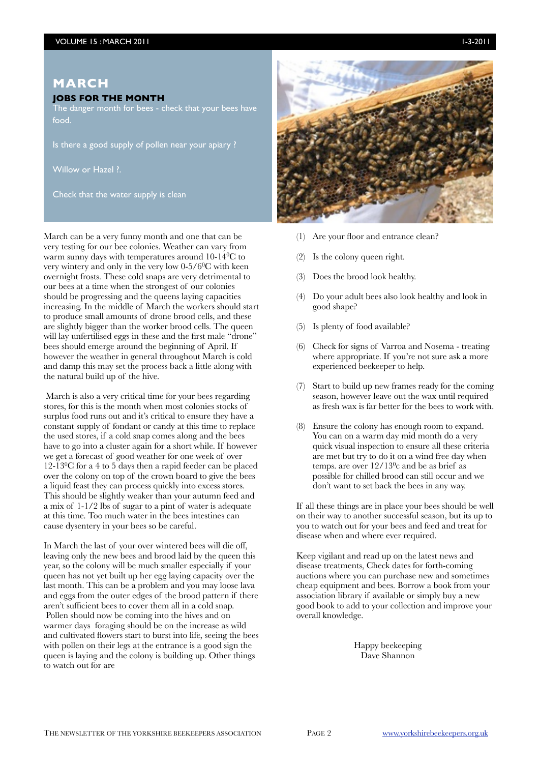### **MARCH**

### **JOBS FOR THE MONTH**

The danger month for bees - check that your bees have food.

Is there a good supply of pollen near your apiary ?

Willow or Hazel ?.

Check that the water supply is clean

March can be a very funny month and one that can be very testing for our bee colonies. Weather can vary from warm sunny days with temperatures around 10-140C to very wintery and only in the very low 0-5/60C with keen overnight frosts. These cold snaps are very detrimental to our bees at a time when the strongest of our colonies should be progressing and the queens laying capacities increasing. In the middle of March the workers should start to produce small amounts of drone brood cells, and these are slightly bigger than the worker brood cells. The queen will lay unfertilised eggs in these and the first male "drone" bees should emerge around the beginning of April. If however the weather in general throughout March is cold and damp this may set the process back a little along with the natural build up of the hive.

 March is also a very critical time for your bees regarding stores, for this is the month when most colonies stocks of surplus food runs out and it's critical to ensure they have a constant supply of fondant or candy at this time to replace the used stores, if a cold snap comes along and the bees have to go into a cluster again for a short while. If however we get a forecast of good weather for one week of over  $12-\overline{130}$ C for a 4 to 5 days then a rapid feeder can be placed over the colony on top of the crown board to give the bees a liquid feast they can process quickly into excess stores. This should be slightly weaker than your autumn feed and a mix of 1-1/2 lbs of sugar to a pint of water is adequate at this time. Too much water in the bees intestines can cause dysentery in your bees so be careful.

In March the last of your over wintered bees will die off, leaving only the new bees and brood laid by the queen this year, so the colony will be much smaller especially if your queen has not yet built up her egg laying capacity over the last month. This can be a problem and you may loose lava and eggs from the outer edges of the brood pattern if there aren't sufficient bees to cover them all in a cold snap. Pollen should now be coming into the hives and on warmer days foraging should be on the increase as wild and cultivated flowers start to burst into life, seeing the bees with pollen on their legs at the entrance is a good sign the queen is laying and the colony is building up. Other things to watch out for are



- (1) Are your floor and entrance clean?
- Is the colony queen right.
- Does the brood look healthy.
- (4) Do your adult bees also look healthy and look in good shape?
- (5) Is plenty of food available?
- (6) Check for signs of Varroa and Nosema treating where appropriate. If you're not sure ask a more experienced beekeeper to help.
- (7) Start to build up new frames ready for the coming season, however leave out the wax until required as fresh wax is far better for the bees to work with.
- (8) Ensure the colony has enough room to expand. You can on a warm day mid month do a very quick visual inspection to ensure all these criteria are met but try to do it on a wind free day when temps. are over 12/130c and be as brief as possible for chilled brood can still occur and we don't want to set back the bees in any way.

If all these things are in place your bees should be well on their way to another successful season, but its up to you to watch out for your bees and feed and treat for disease when and where ever required.

Keep vigilant and read up on the latest news and disease treatments, Check dates for forth-coming auctions where you can purchase new and sometimes cheap equipment and bees. Borrow a book from your association library if available or simply buy a new good book to add to your collection and improve your overall knowledge.

> Happy beekeeping Dave Shannon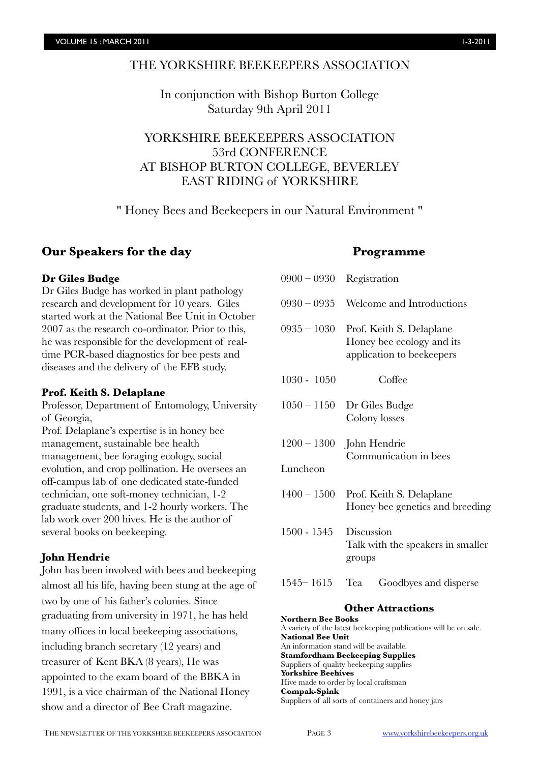### THE YORKSHIRE BEEKEEPERS ASSOCIATION

In conjunction with Bishop Burton College Saturday 9th April 2011

YORKSHIRE BEEKEEPERS ASSOCIATION 53rd CONFERENCE AT BISHOP BURTON COLLEGE, BEVERLEY EAST RIDING of YORKSHIRE

" Honey Bees and Beekeepers in our Natural Environment "

### **Our Speakers for the day**

### **Dr Giles Budge**

Dr Giles Budge has worked in plant pathology research and development for 10 years. Giles started work at the National Bee Unit in October 2007 as the research co-ordinator. Prior to this, he was responsible for the development of realtime PCR-based diagnostics for bee pests and diseases and the delivery of the EFB study.

### **Prof. Keith S. Delaplane**

Professor, Department of Entomology, University of Georgia,

Prof. Delaplane's expertise is in honey bee management, sustainable bee health management, bee foraging ecology, social evolution, and crop pollination. He oversees an off-campus lab of one dedicated state-funded technician, one soft-money technician, 1-2 graduate students, and 1-2 hourly workers. The lab work over 200 hives. He is the author of several books on beekeeping.

### **John Hendrie**

John has been involved with bees and beekeeping almost all his life, having been stung at the age of two by one of his father's colonies. Since graduating from university in 1971, he has held many offices in local beekeeping associations, including branch secretary (12 years) and treasurer of Kent BKA (8 years), He was appointed to the exam board of the BBKA in 1991, is a vice chairman of the National Honey show and a director of Bee Craft magazine.

### **Programme**

| $0900 - 0930$ | Registration                                                                       |
|---------------|------------------------------------------------------------------------------------|
| $0930 - 0935$ | Welcome and Introductions                                                          |
| $0935 - 1030$ | Prof. Keith S. Delaplane<br>Honey bee ecology and its<br>application to beekeepers |
| 1030 - 1050   | Coffee                                                                             |
| $1050 - 1150$ | Dr Giles Budge<br>Colony losses                                                    |
|               | $1200 - 1300$ John Hendrie<br>Communication in bees                                |
| Luncheon      |                                                                                    |
| $1400 - 1500$ | Prof. Keith S. Delaplane<br>Honey bee genetics and breeding                        |
| 1500 - 1545   | Discussion<br>Talk with the speakers in smaller<br>groups                          |
| $1545 - 1615$ | Tea<br>Goodbyes and disperse                                                       |

### **Other Attractions**

**Northern Bee Books** A variety of the latest beekeeping publications will be on sale. **National Bee Unit**  An information stand will be available. **Stamfordham Beekeeping Supplies** Suppliers of quality beekeeping supplies **Yorkshire Beehives** Hive made to order by local craftsman **Compak-Spink** Suppliers of all sorts of containers and honey jars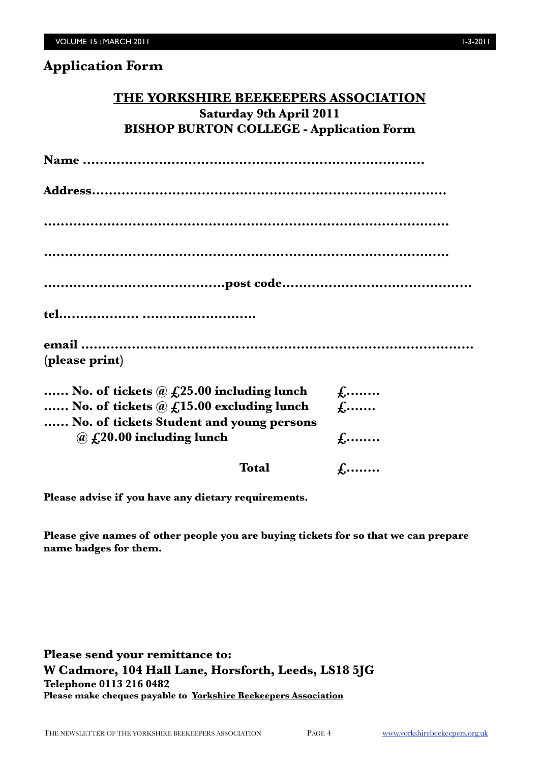| THE YORKSHIRE BEEKEEPERS ASSOCIATION            |
|-------------------------------------------------|
| Saturday 9th April 2011                         |
| <b>BISHOP BURTON COLLEGE - Application Form</b> |
|                                                 |
|                                                 |
|                                                 |
|                                                 |
|                                                 |
|                                                 |
|                                                 |
| (please print)                                  |

| No. of tickets $\hat{a}$ $f_{12}$ , 25.00 including lunch | $f_{i}$      |
|-----------------------------------------------------------|--------------|
| No. of tickets $\omega$ $f$ , 15.00 excluding lunch       | $f$          |
| No. of tickets Student and young persons                  |              |
| $\omega$ $f$ 20.00 including lunch                        | $f_{\cdots}$ |
|                                                           |              |
| <b>Total</b>                                              | $f_{\cdots}$ |

**Please advise if you have any dietary requirements.**

**Please give names of other people you are buying tickets for so that we can prepare name badges for them.**

**Please send your remittance to: W Cadmore, 104 Hall Lane, Horsforth, Leeds, LS18 5JG Telephone 0113 216 0482 Please make cheques payable to Yorkshire Beekeepers Association**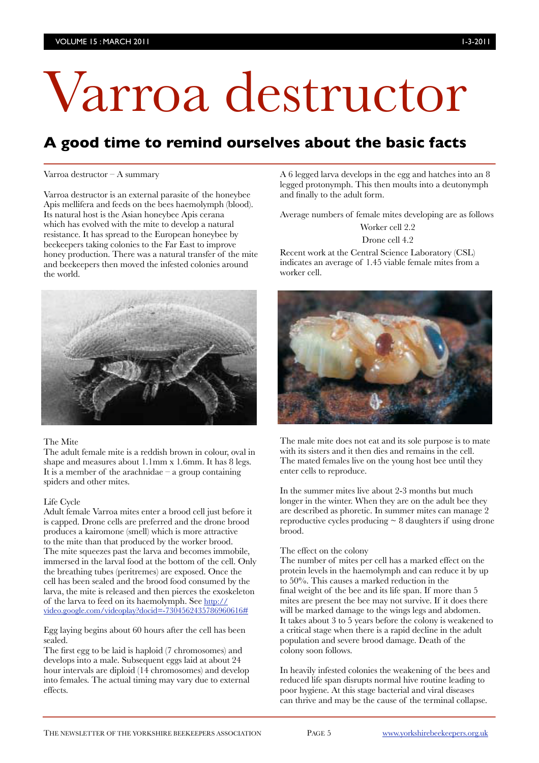# Varroa destructor

# **A good time to remind ourselves about the basic facts**

#### Varroa destructor – A summary

Varroa destructor is an external parasite of the honeybee Apis mellifera and feeds on the bees haemolymph (blood). Its natural host is the Asian honeybee Apis cerana which has evolved with the mite to develop a natural resistance. It has spread to the European honeybee by beekeepers taking colonies to the Far East to improve honey production. There was a natural transfer of the mite and beekeepers then moved the infested colonies around the world.



#### The Mite

The adult female mite is a reddish brown in colour, oval in shape and measures about 1.1mm x 1.6mm. It has 8 legs. It is a member of the arachnidae – a group containing spiders and other mites.

### Life Cycle

Adult female Varroa mites enter a brood cell just before it is capped. Drone cells are preferred and the drone brood produces a kairomone (smell) which is more attractive to the mite than that produced by the worker brood. The mite squeezes past the larva and becomes immobile, immersed in the larval food at the bottom of the cell. Only the breathing tubes (peritremes) are exposed. Once the cell has been sealed and the brood food consumed by the larva, the mite is released and then pierces the exoskeleton of the larva to feed on its haemolymph. See [http://](http://video.google.com/videoplay?docid=-7304562435786960616#) [video.google.com/videoplay?docid=-7304562435786960616#](http://video.google.com/videoplay?docid=-7304562435786960616#)

Egg laying begins about 60 hours after the cell has been sealed.

The first egg to be laid is haploid (7 chromosomes) and develops into a male. Subsequent eggs laid at about 24 hour intervals are diploid (14 chromosomes) and develop into females. The actual timing may vary due to external effects.

A 6 legged larva develops in the egg and hatches into an 8 legged protonymph. This then moults into a deutonymph and finally to the adult form.

Average numbers of female mites developing are as follows

Worker cell 2.2

### Drone cell 4.2

Recent work at the Central Science Laboratory (CSL) indicates an average of 1.45 viable female mites from a worker cell.



The male mite does not eat and its sole purpose is to mate with its sisters and it then dies and remains in the cell. The mated females live on the young host bee until they enter cells to reproduce.

In the summer mites live about 2-3 months but much longer in the winter. When they are on the adult bee they are described as phoretic. In summer mites can manage 2 reproductive cycles producing  $\sim 8$  daughters if using drone brood.

#### The effect on the colony

The number of mites per cell has a marked effect on the protein levels in the haemolymph and can reduce it by up to 50%. This causes a marked reduction in the final weight of the bee and its life span. If more than 5 mites are present the bee may not survive. If it does there will be marked damage to the wings legs and abdomen. It takes about 3 to 5 years before the colony is weakened to a critical stage when there is a rapid decline in the adult population and severe brood damage. Death of the colony soon follows.

In heavily infested colonies the weakening of the bees and reduced life span disrupts normal hive routine leading to poor hygiene. At this stage bacterial and viral diseases can thrive and may be the cause of the terminal collapse.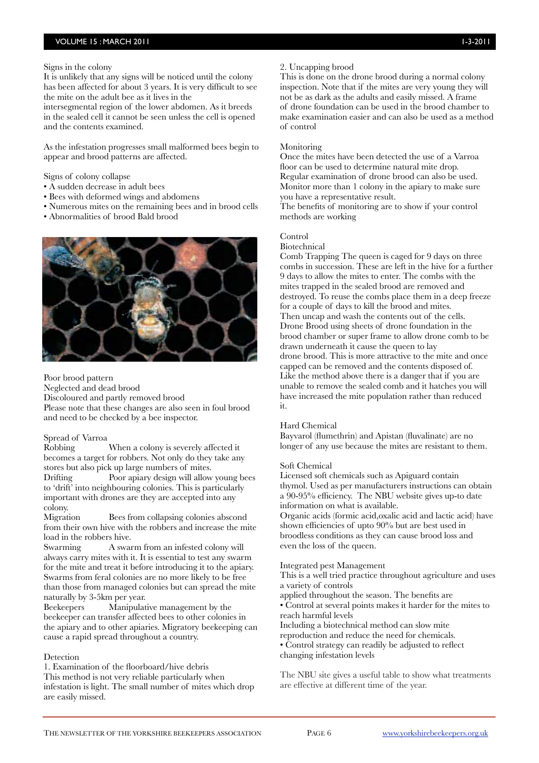### Signs in the colony

It is unlikely that any signs will be noticed until the colony has been affected for about 3 years. It is very difficult to see the mite on the adult bee as it lives in the

intersegmental region of the lower abdomen. As it breeds in the sealed cell it cannot be seen unless the cell is opened and the contents examined.

As the infestation progresses small malformed bees begin to appear and brood patterns are affected.

Signs of colony collapse

- A sudden decrease in adult bees
- Bees with deformed wings and abdomens
- Numerous mites on the remaining bees and in brood cells
- Abnormalities of brood Bald brood



### Poor brood pattern

Neglected and dead brood

Discoloured and partly removed brood

Please note that these changes are also seen in foul brood and need to be checked by a bee inspector.

### Spread of Varroa

Robbing When a colony is severely affected it becomes a target for robbers. Not only do they take any stores but also pick up large numbers of mites.

Drifting Poor apiary design will allow young bees to 'drift' into neighbouring colonies. This is particularly important with drones are they are accepted into any colony.

Migration Bees from collapsing colonies abscond from their own hive with the robbers and increase the mite load in the robbers hive.

Swarming A swarm from an infested colony will always carry mites with it. It is essential to test any swarm for the mite and treat it before introducing it to the apiary. Swarms from feral colonies are no more likely to be free than those from managed colonies but can spread the mite naturally by 3-5km per year.

Beekeepers Manipulative management by the beekeeper can transfer affected bees to other colonies in the apiary and to other apiaries. Migratory beekeeping can cause a rapid spread throughout a country.

### **Detection**

1. Examination of the floorboard/hive debris This method is not very reliable particularly when infestation is light. The small number of mites which drop are easily missed.

### 2. Uncapping brood

This is done on the drone brood during a normal colony inspection. Note that if the mites are very young they will not be as dark as the adults and easily missed. A frame of drone foundation can be used in the brood chamber to make examination easier and can also be used as a method of control

### **Monitoring**

Once the mites have been detected the use of a Varroa floor can be used to determine natural mite drop. Regular examination of drone brood can also be used. Monitor more than 1 colony in the apiary to make sure you have a representative result. The benefits of monitoring are to show if your control methods are working

### Control

Biotechnical

Comb Trapping The queen is caged for 9 days on three combs in succession. These are left in the hive for a further 9 days to allow the mites to enter. The combs with the mites trapped in the sealed brood are removed and destroyed. To reuse the combs place them in a deep freeze for a couple of days to kill the brood and mites. Then uncap and wash the contents out of the cells. Drone Brood using sheets of drone foundation in the brood chamber or super frame to allow drone comb to be drawn underneath it cause the queen to lay drone brood. This is more attractive to the mite and once capped can be removed and the contents disposed of. Like the method above there is a danger that if you are unable to remove the sealed comb and it hatches you will have increased the mite population rather than reduced it.

### Hard Chemical

Bayvarol (flumethrin) and Apistan (fluvalinate) are no longer of any use because the mites are resistant to them.

### Soft Chemical

Licensed soft chemicals such as Apiguard contain thymol. Used as per manufacturers instructions can obtain a 90-95% efficiency. The NBU website gives up-to date information on what is available.

Organic acids (formic acid,oxalic acid and lactic acid) have shown efficiencies of upto 90% but are best used in broodless conditions as they can cause brood loss and even the loss of the queen.

### Integrated pest Management

This is a well tried practice throughout agriculture and uses a variety of controls

applied throughout the season. The benefits are

• Control at several points makes it harder for the mites to reach harmful levels

Including a biotechnical method can slow mite

reproduction and reduce the need for chemicals.

• Control strategy can readily be adjusted to reflect changing infestation levels

The NBU site gives a useful table to show what treatments are effective at different time of the year.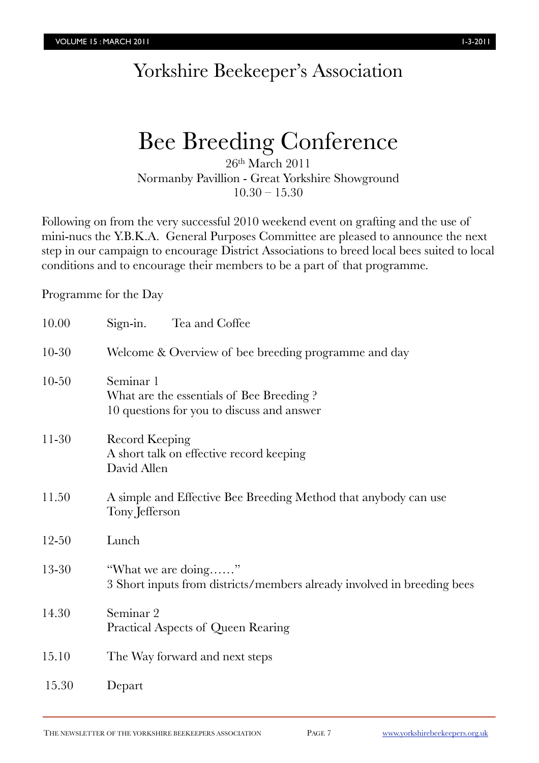# Yorkshire Beekeeper's Association

# Bee Breeding Conference

26th March 2011 Normanby Pavillion - Great Yorkshire Showground  $10.30 - 15.30$ 

Following on from the very successful 2010 weekend event on grafting and the use of mini-nucs the Y.B.K.A. General Purposes Committee are pleased to announce the next step in our campaign to encourage District Associations to breed local bees suited to local conditions and to encourage their members to be a part of that programme.

Programme for the Day

| 10.00     | Sign-in.<br>Tea and Coffee                                                                          |
|-----------|-----------------------------------------------------------------------------------------------------|
| $10 - 30$ | Welcome & Overview of bee breeding programme and day                                                |
| $10 - 50$ | Seminar 1<br>What are the essentials of Bee Breeding?<br>10 questions for you to discuss and answer |
| $11-30$   | <b>Record Keeping</b><br>A short talk on effective record keeping<br>David Allen                    |
| 11.50     | A simple and Effective Bee Breeding Method that anybody can use<br>Tony Jefferson                   |
| $12 - 50$ | Lunch                                                                                               |
| 13-30     | "What we are doing"<br>3 Short inputs from districts/members already involved in breeding bees      |
| 14.30     | Seminar 2<br>Practical Aspects of Queen Rearing                                                     |
| 15.10     | The Way forward and next steps                                                                      |
| 15.30     | Depart                                                                                              |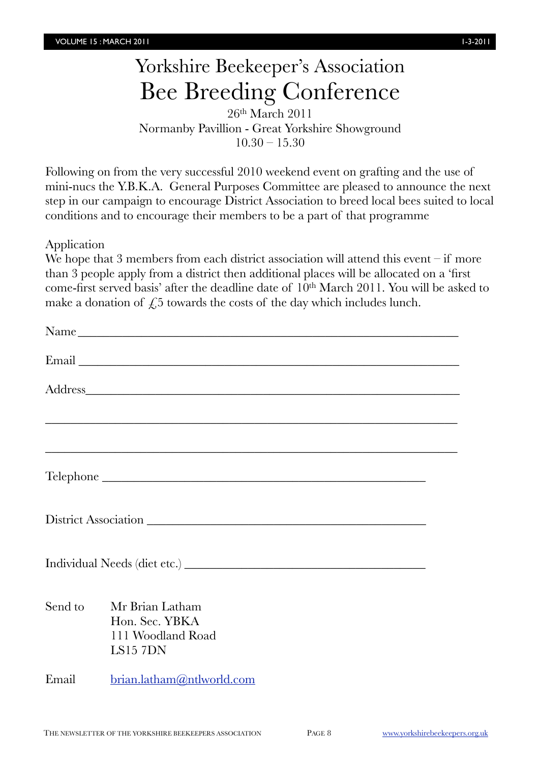# Yorkshire Beekeeper's Association Bee Breeding Conference

26th March 2011 Normanby Pavillion - Great Yorkshire Showground  $10.30 - 15.30$ 

Following on from the very successful 2010 weekend event on grafting and the use of mini-nucs the Y.B.K.A. General Purposes Committee are pleased to announce the next step in our campaign to encourage District Association to breed local bees suited to local conditions and to encourage their members to be a part of that programme

Application

We hope that 3 members from each district association will attend this event – if more than 3 people apply from a district then additional places will be allocated on a 'first come-first served basis' after the deadline date of 10<sup>th</sup> March 2011. You will be asked to make a donation of  $\sqrt{25}$  towards the costs of the day which includes lunch.

| Name    |                                                                                                                        |  |
|---------|------------------------------------------------------------------------------------------------------------------------|--|
|         |                                                                                                                        |  |
|         |                                                                                                                        |  |
|         | <u> 1999 - Johann Harry Harry Harry Harry Harry Harry Harry Harry Harry Harry Harry Harry Harry Harry Harry Harry</u>  |  |
|         | <u> 1989 - Johann Stoff, deutscher Stoffen und der Stoffen und der Stoffen und der Stoffen und der Stoffen und der</u> |  |
|         |                                                                                                                        |  |
|         | District Association                                                                                                   |  |
|         |                                                                                                                        |  |
| Send to | Mr Brian Latham<br>Hon. Sec. YBKA<br>111 Woodland Road<br>LS157DN                                                      |  |
| Email   | brain.latham@ntlworld.com                                                                                              |  |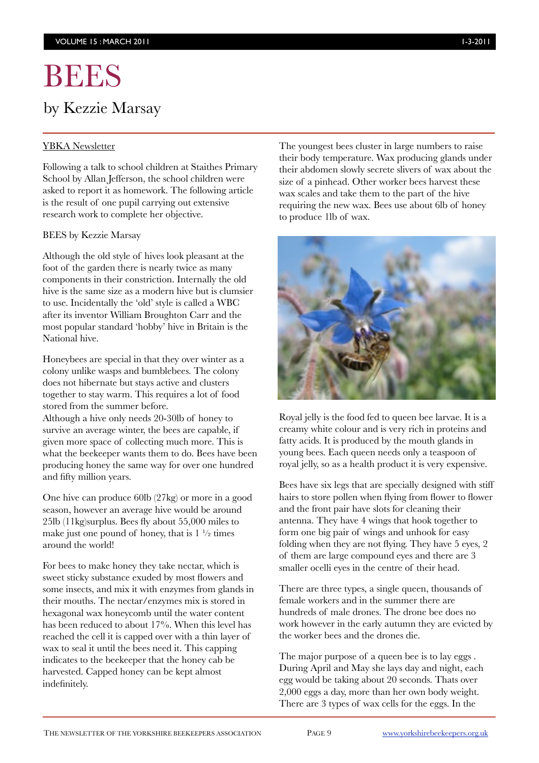# BEES by Kezzie Marsay

### YBKA Newsletter

Following a talk to school children at Staithes Primary School by Allan Jefferson, the school children were asked to report it as homework. The following article is the result of one pupil carrying out extensive research work to complete her objective.

### BEES by Kezzie Marsay

Although the old style of hives look pleasant at the foot of the garden there is nearly twice as many components in their constriction. Internally the old hive is the same size as a modern hive but is clumsier to use. Incidentally the 'old' style is called a WBC after its inventor William Broughton Carr and the most popular standard 'hobby' hive in Britain is the National hive.

Honeybees are special in that they over winter as a colony unlike wasps and bumblebees. The colony does not hibernate but stays active and clusters together to stay warm. This requires a lot of food stored from the summer before.

Although a hive only needs 20-30lb of honey to survive an average winter, the bees are capable, if given more space of collecting much more. This is what the beekeeper wants them to do. Bees have been producing honey the same way for over one hundred and fifty million years.

One hive can produce 60lb (27kg) or more in a good season, however an average hive would be around 25lb (11kg)surplus. Bees fly about 55,000 miles to make just one pound of honey, that is  $1\frac{1}{2}$  times around the world!

For bees to make honey they take nectar, which is sweet sticky substance exuded by most flowers and some insects, and mix it with enzymes from glands in their mouths. The nectar/enzymes mix is stored in hexagonal wax honeycomb until the water content has been reduced to about 17%. When this level has reached the cell it is capped over with a thin layer of wax to seal it until the bees need it. This capping indicates to the beekeeper that the honey cab be harvested. Capped honey can be kept almost indefinitely.

The youngest bees cluster in large numbers to raise their body temperature. Wax producing glands under their abdomen slowly secrete slivers of wax about the size of a pinhead. Other worker bees harvest these wax scales and take them to the part of the hive requiring the new wax. Bees use about 6lb of honey to produce 1lb of wax.



Royal jelly is the food fed to queen bee larvae. It is a creamy white colour and is very rich in proteins and fatty acids. It is produced by the mouth glands in young bees. Each queen needs only a teaspoon of royal jelly, so as a health product it is very expensive.

Bees have six legs that are specially designed with stiff hairs to store pollen when flying from flower to flower and the front pair have slots for cleaning their antenna. They have 4 wings that hook together to form one big pair of wings and unhook for easy folding when they are not flying. They have 5 eyes, 2 of them are large compound eyes and there are 3 smaller ocelli eyes in the centre of their head.

There are three types, a single queen, thousands of female workers and in the summer there are hundreds of male drones. The drone bee does no work however in the early autumn they are evicted by the worker bees and the drones die.

The major purpose of a queen bee is to lay eggs . During April and May she lays day and night, each egg would be taking about 20 seconds. Thats over 2,000 eggs a day, more than her own body weight. There are 3 types of wax cells for the eggs. In the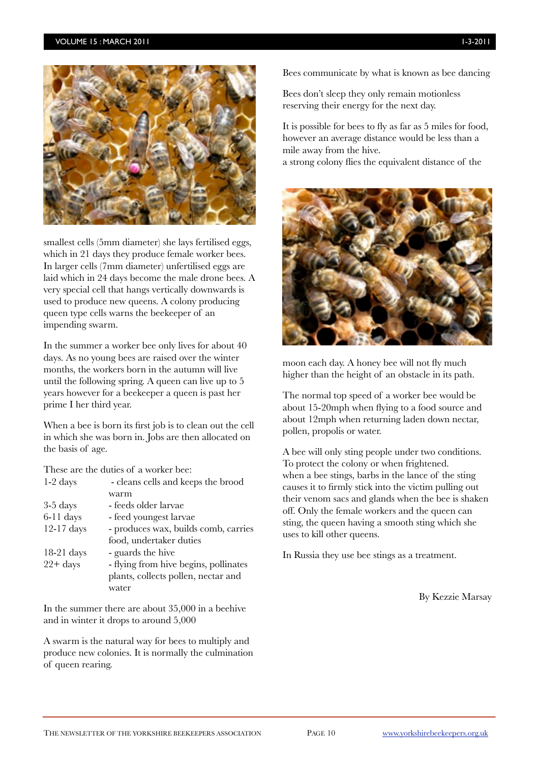### VOLUME 15 : MARCH 2011 1-3-2011



smallest cells (5mm diameter) she lays fertilised eggs, which in 21 days they produce female worker bees. In larger cells (7mm diameter) unfertilised eggs are laid which in 24 days become the male drone bees. A very special cell that hangs vertically downwards is used to produce new queens. A colony producing queen type cells warns the beekeeper of an impending swarm.

In the summer a worker bee only lives for about 40 days. As no young bees are raised over the winter months, the workers born in the autumn will live until the following spring. A queen can live up to 5 years however for a beekeeper a queen is past her prime I her third year.

When a bee is born its first job is to clean out the cell in which she was born in. Jobs are then allocated on the basis of age.

These are the duties of a worker bee:

| $1-2$ days   | - cleans cells and keeps the brood    |
|--------------|---------------------------------------|
|              | warm                                  |
| $3-5$ days   | - feeds older larvae                  |
| $6-11$ days  | - feed youngest larvae                |
| $12-17$ days | - produces wax, builds comb, carries  |
|              | food, undertaker duties               |
| $18-21$ days | - guards the hive                     |
| $22 + days$  | - flying from hive begins, pollinates |
|              | plants, collects pollen, nectar and   |
|              | water                                 |
|              |                                       |

In the summer there are about 35,000 in a beehive and in winter it drops to around 5,000

A swarm is the natural way for bees to multiply and produce new colonies. It is normally the culmination of queen rearing.

Bees communicate by what is known as bee dancing

Bees don't sleep they only remain motionless reserving their energy for the next day.

It is possible for bees to fly as far as 5 miles for food, however an average distance would be less than a mile away from the hive. a strong colony flies the equivalent distance of the



moon each day. A honey bee will not fly much higher than the height of an obstacle in its path.

The normal top speed of a worker bee would be about 15-20mph when flying to a food source and about 12mph when returning laden down nectar, pollen, propolis or water.

A bee will only sting people under two conditions. To protect the colony or when frightened. when a bee stings, barbs in the lance of the sting causes it to firmly stick into the victim pulling out their venom sacs and glands when the bee is shaken off. Only the female workers and the queen can sting, the queen having a smooth sting which she uses to kill other queens.

In Russia they use bee stings as a treatment.

By Kezzie Marsay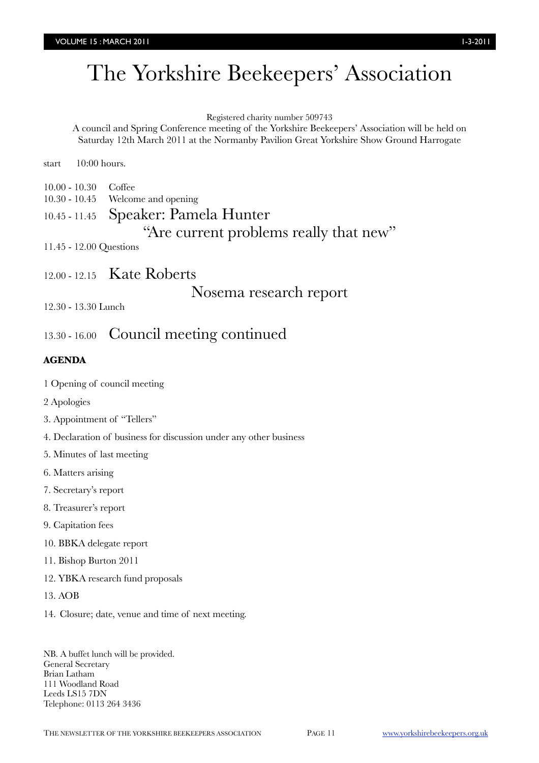# The Yorkshire Beekeepers' Association

### Registered charity number 509743

A council and Spring Conference meeting of the Yorkshire Beekeepers' Association will be held on Saturday 12th March 2011 at the Normanby Pavilion Great Yorkshire Show Ground Harrogate

start 10:00 hours.

- 10.00 10.30 Coffee
- 10.30 10.45 Welcome and opening

# 10.45 - 11.45 Speaker: Pamela Hunter

"Are current problems really that new"

11.45 - 12.00 Questions

12.00 - 12.15 Kate Roberts

Nosema research report

12.30 - 13.30 Lunch

# 13.30 - 16.00 Council meeting continued

### **AGENDA**

- 1 Opening of council meeting
- 2 Apologies
- 3. Appointment of "Tellers"
- 4. Declaration of business for discussion under any other business
- 5. Minutes of last meeting
- 6. Matters arising
- 7. Secretary's report
- 8. Treasurer's report
- 9. Capitation fees
- 10. BBKA delegate report
- 11. Bishop Burton 2011
- 12. YBKA research fund proposals
- 13. AOB
- 14. Closure; date, venue and time of next meeting.

NB. A buffet lunch will be provided. General Secretary Brian Latham 111 Woodland Road Leeds LS15 7DN Telephone: 0113 264 3436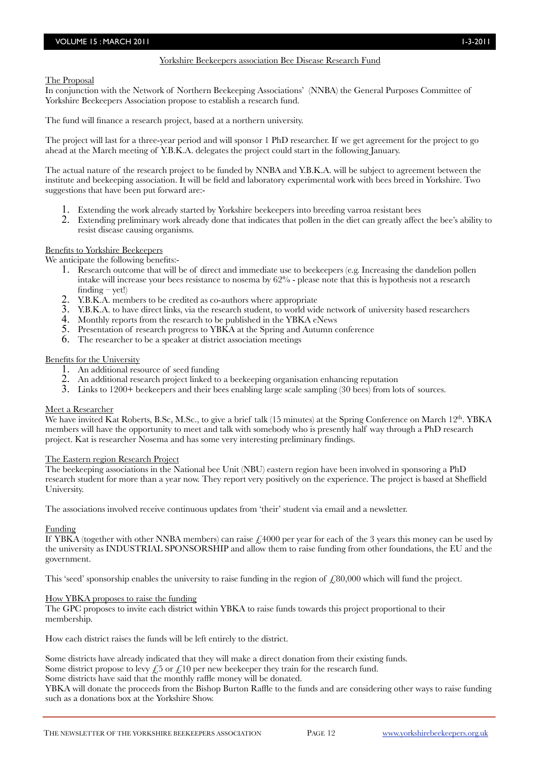The Proposal

In conjunction with the Network of Northern Beekeeping Associations' (NNBA) the General Purposes Committee of Yorkshire Beekeepers Association propose to establish a research fund.

The fund will finance a research project, based at a northern university.

The project will last for a three-year period and will sponsor 1 PhD researcher. If we get agreement for the project to go ahead at the March meeting of Y.B.K.A. delegates the project could start in the following January.

The actual nature of the research project to be funded by NNBA and Y.B.K.A. will be subject to agreement between the institute and beekeeping association. It will be field and laboratory experimental work with bees breed in Yorkshire. Two suggestions that have been put forward are:-

- 1. Extending the work already started by Yorkshire beekeepers into breeding varroa resistant bees
- 2. Extending preliminary work already done that indicates that pollen in the diet can greatly affect the bee's ability to resist disease causing organisms.

### Benefits to Yorkshire Beekeepers

We anticipate the following benefits:-

- 1. Research outcome that will be of direct and immediate use to beekeepers (e.g. Increasing the dandelion pollen intake will increase your bees resistance to nosema by 62% - please note that this is hypothesis not a research finding  $-$  yet!)
- 2. Y.B.K.A. members to be credited as co-authors where appropriate
- 3. Y.B.K.A. to have direct links, via the research student, to world wide network of university based researchers
- 4. Monthly reports from the research to be published in the YBKA eNews
- 5. Presentation of research progress to YBKA at the Spring and Autumn conference
- 6. The researcher to be a speaker at district association meetings

### Benefits for the University

- 1. An additional resource of seed funding
- 2. An additional research project linked to a beekeeping organisation enhancing reputation
- 3. Links to 1200+ beekeepers and their bees enabling large scale sampling (30 bees) from lots of sources.

### Meet a Researcher

We have invited Kat Roberts, B.Sc, M.Sc., to give a brief talk (15 minutes) at the Spring Conference on March 12<sup>th</sup>. YBKA members will have the opportunity to meet and talk with somebody who is presently half way through a PhD research project. Kat is researcher Nosema and has some very interesting preliminary findings.

### The Eastern region Research Project

The beekeeping associations in the National bee Unit (NBU) eastern region have been involved in sponsoring a PhD research student for more than a year now. They report very positively on the experience. The project is based at Sheffield University.

The associations involved receive continuous updates from 'their' student via email and a newsletter.

### Funding

If YBKA (together with other NNBA members) can raise  $\mathcal{L}4000$  per year for each of the 3 years this money can be used by the university as INDUSTRIAL SPONSORSHIP and allow them to raise funding from other foundations, the EU and the government.

This 'seed' sponsorship enables the university to raise funding in the region of  $\angle 80,000$  which will fund the project.

### How YBKA proposes to raise the funding

The GPC proposes to invite each district within YBKA to raise funds towards this project proportional to their membership.

How each district raises the funds will be left entirely to the district.

Some districts have already indicated that they will make a direct donation from their existing funds.

Some district propose to levy  $\epsilon$  5 or  $\epsilon$  10 per new beekeeper they train for the research fund.

### Some districts have said that the monthly raffle money will be donated.

YBKA will donate the proceeds from the Bishop Burton Raffle to the funds and are considering other ways to raise funding such as a donations box at the Yorkshire Show.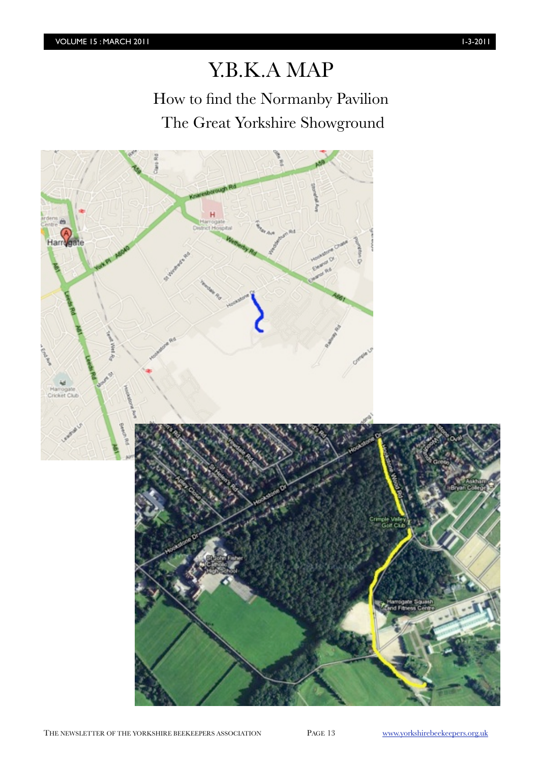# Y.B.K.A MAP

How to find the Normanby Pavilion The Great Yorkshire Showground



THE NEWSLETTER OF THE YORKSHIRE BEEKEEPERS ASSOCIATION PAGE 13 [www.yorkshirebeekeepers.org.uk](http://www.yorkshirebeekeepers.org.uk)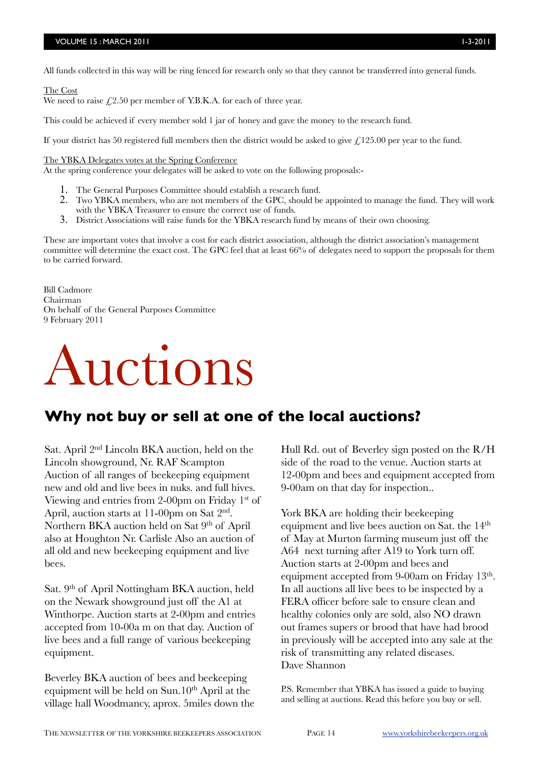All funds collected in this way will be ring fenced for research only so that they cannot be transferred into general funds.

### The Cost

We need to raise  $f(2.50)$  per member of Y.B.K.A. for each of three year.

This could be achieved if every member sold 1 jar of honey and gave the money to the research fund.

If your district has 50 registered full members then the district would be asked to give  $\ell$ , 125.00 per year to the fund.

The YBKA Delegates votes at the Spring Conference

At the spring conference your delegates will be asked to vote on the following proposals:-

- 1. The General Purposes Committee should establish a research fund.
- 2. Two YBKA members, who are not members of the GPC, should be appointed to manage the fund. They will work with the YBKA Treasurer to ensure the correct use of funds.
- 3. District Associations will raise funds for the YBKA research fund by means of their own choosing.

These are important votes that involve a cost for each district association, although the district association's management committee will determine the exact cost. The GPC feel that at least 66% of delegates need to support the proposals for them to be carried forward.

Bill Cadmore Chairman On behalf of the General Purposes Committee 9 February 2011

# Auctions

# **Why not buy or sell at one of the local auctions?**

Sat. April 2nd Lincoln BKA auction, held on the Lincoln showground, Nr. RAF Scampton Auction of all ranges of beekeeping equipment new and old and live bees in nuks. and full hives. Viewing and entries from 2-00pm on Friday 1st of April, auction starts at 11-00pm on Sat 2nd. Northern BKA auction held on Sat 9<sup>th</sup> of April also at Houghton Nr. Carlisle Also an auction of all old and new beekeeping equipment and live bees.

Sat. 9th of April Nottingham BKA auction, held on the Newark showground just off the A1 at Winthorpe. Auction starts at 2-00pm and entries accepted from 10-00a m on that day. Auction of live bees and a full range of various beekeeping equipment.

Beverley BKA auction of bees and beekeeping equipment will be held on Sun.10th April at the village hall Woodmancy, aprox. 5miles down the Hull Rd. out of Beverley sign posted on the R/H side of the road to the venue. Auction starts at 12-00pm and bees and equipment accepted from 9-00am on that day for inspection..

York BKA are holding their beekeeping equipment and live bees auction on Sat. the 14th of May at Murton farming museum just off the A64 next turning after A19 to York turn off. Auction starts at 2-00pm and bees and equipment accepted from 9-00am on Friday 13<sup>th</sup>. In all auctions all live bees to be inspected by a FERA officer before sale to ensure clean and healthy colonies only are sold, also NO drawn out frames supers or brood that have had brood in previously will be accepted into any sale at the risk of transmitting any related diseases. Dave Shannon

P.S. Remember that YBKA has issued a guide to buying and selling at auctions. Read this before you buy or sell.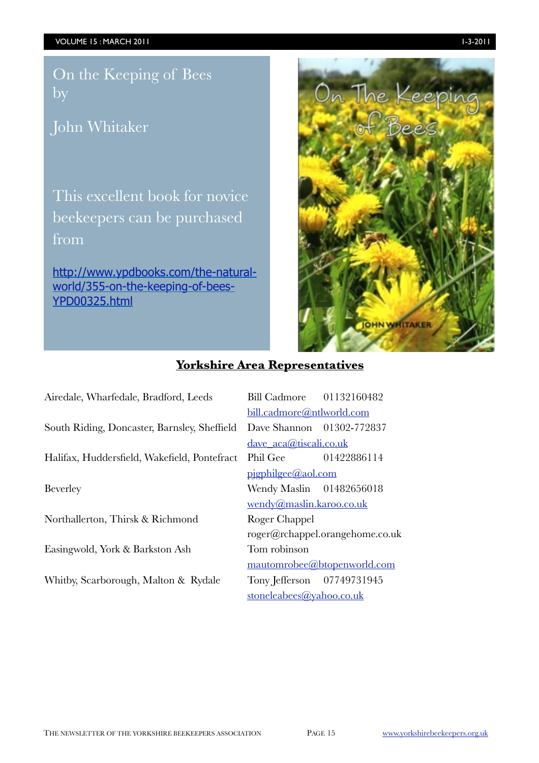On the Keeping of Bees by

John Whitaker

This excellent book for novice beekeepers can be purchased from

[http://www.ypdbooks.com/the-natural](http://www.ypdbooks.com/the-natural-world/355-on-the-keeping-of-bees-YPD00325.html)[world/355-on-the-keeping-of-bees-](http://www.ypdbooks.com/the-natural-world/355-on-the-keeping-of-bees-YPD00325.html)[YPD00325.html](http://www.ypdbooks.com/the-natural-world/355-on-the-keeping-of-bees-YPD00325.html)



### **Yorkshire Area Representatives**

Airedale, Wharfedale, Bradford, Leeds Bill Cadmore 01132160482

South Riding, Doncaster, Barnsley, Sheffield Dave Shannon 01302-772837

Halifax, Huddersfield, Wakefield, Pontefract Phil Gee 01422886114

Northallerton, Thirsk & Richmond Roger Chappel

Easingwold, York & Barkston Ash Tom robinson

Whitby, Scarborough, Malton & Rydale Tony Jefferson 07749731945

 [bill.cadmore@ntlworld.com](mailto:bill.cadmore@ntlworld.com) [dave\\_aca@tiscali.co.uk](mailto:dave_aca@tiscali.co.uk) [pjgphilgee@aol.com](mailto:pjgphilgee@aol.com) Beverley **Wendy Maslin** 01482656018 [wendy@maslin.karoo.co.uk](mailto:wendy@maslin.karoo.co.uk) [roger@rchappel.orangehome.co.uk](mailto:roger@rchappel.orangehome.co.uk) [mautomrobee@btopenworld.com](mailto:mautomrobee@btopenworld.com) [stoneleabees@yahoo.co.uk](mailto:stoneleabees@yahoo.co.uk)